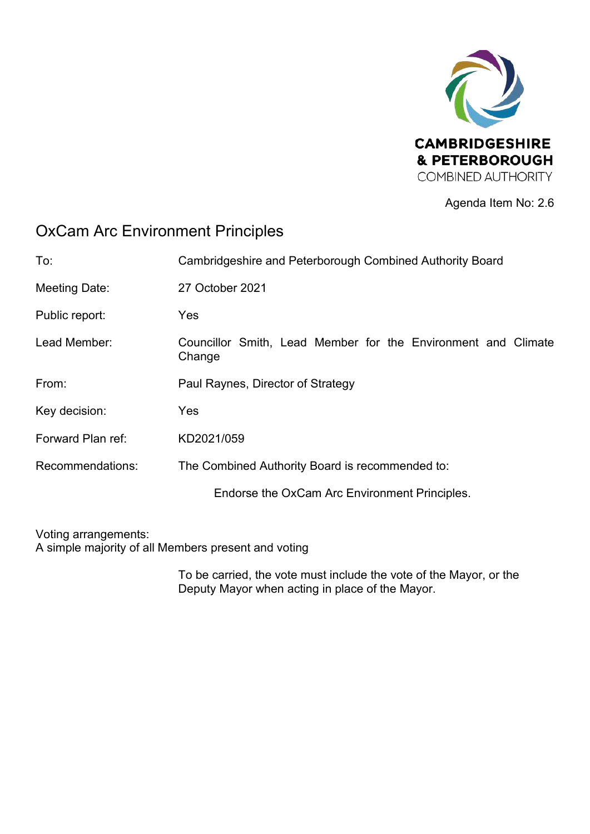

Agenda Item No: 2.6

# OxCam Arc Environment Principles

| To:               | Cambridgeshire and Peterborough Combined Authority Board                |
|-------------------|-------------------------------------------------------------------------|
| Meeting Date:     | 27 October 2021                                                         |
| Public report:    | Yes                                                                     |
| Lead Member:      | Councillor Smith, Lead Member for the Environment and Climate<br>Change |
| From:             | Paul Raynes, Director of Strategy                                       |
| Key decision:     | Yes                                                                     |
| Forward Plan ref: | KD2021/059                                                              |
| Recommendations:  | The Combined Authority Board is recommended to:                         |
|                   | Endorse the OxCam Arc Environment Principles.                           |
|                   |                                                                         |

Voting arrangements: A simple majority of all Members present and voting

> To be carried, the vote must include the vote of the Mayor, or the Deputy Mayor when acting in place of the Mayor.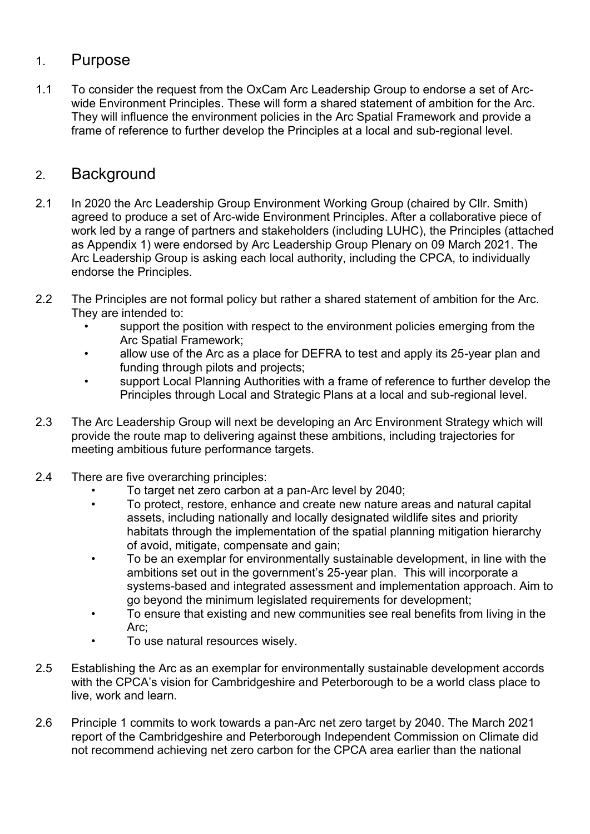### 1. Purpose

1.1 To consider the request from the OxCam Arc Leadership Group to endorse a set of Arcwide Environment Principles. These will form a shared statement of ambition for the Arc. They will influence the environment policies in the Arc Spatial Framework and provide a frame of reference to further develop the Principles at a local and sub-regional level.

## 2. Background

- 2.1 In 2020 the Arc Leadership Group Environment Working Group (chaired by Cllr. Smith) agreed to produce a set of Arc-wide Environment Principles. After a collaborative piece of work led by a range of partners and stakeholders (including LUHC), the Principles (attached as Appendix 1) were endorsed by Arc Leadership Group Plenary on 09 March 2021. The Arc Leadership Group is asking each local authority, including the CPCA, to individually endorse the Principles.
- 2.2 The Principles are not formal policy but rather a shared statement of ambition for the Arc. They are intended to:
	- support the position with respect to the environment policies emerging from the Arc Spatial Framework;
	- allow use of the Arc as a place for DEFRA to test and apply its 25-year plan and funding through pilots and projects;
	- support Local Planning Authorities with a frame of reference to further develop the Principles through Local and Strategic Plans at a local and sub-regional level.
- 2.3 The Arc Leadership Group will next be developing an Arc Environment Strategy which will provide the route map to delivering against these ambitions, including trajectories for meeting ambitious future performance targets.
- 2.4 There are five overarching principles:
	- To target net zero carbon at a pan-Arc level by 2040;
	- To protect, restore, enhance and create new nature areas and natural capital assets, including nationally and locally designated wildlife sites and priority habitats through the implementation of the spatial planning mitigation hierarchy of avoid, mitigate, compensate and gain;
	- To be an exemplar for environmentally sustainable development, in line with the ambitions set out in the government's 25-year plan. This will incorporate a systems-based and integrated assessment and implementation approach. Aim to go beyond the minimum legislated requirements for development;
	- To ensure that existing and new communities see real benefits from living in the Arc;
	- To use natural resources wisely.
- 2.5 Establishing the Arc as an exemplar for environmentally sustainable development accords with the CPCA's vision for Cambridgeshire and Peterborough to be a world class place to live, work and learn.
- 2.6 Principle 1 commits to work towards a pan-Arc net zero target by 2040. The March 2021 report of the Cambridgeshire and Peterborough Independent Commission on Climate did not recommend achieving net zero carbon for the CPCA area earlier than the national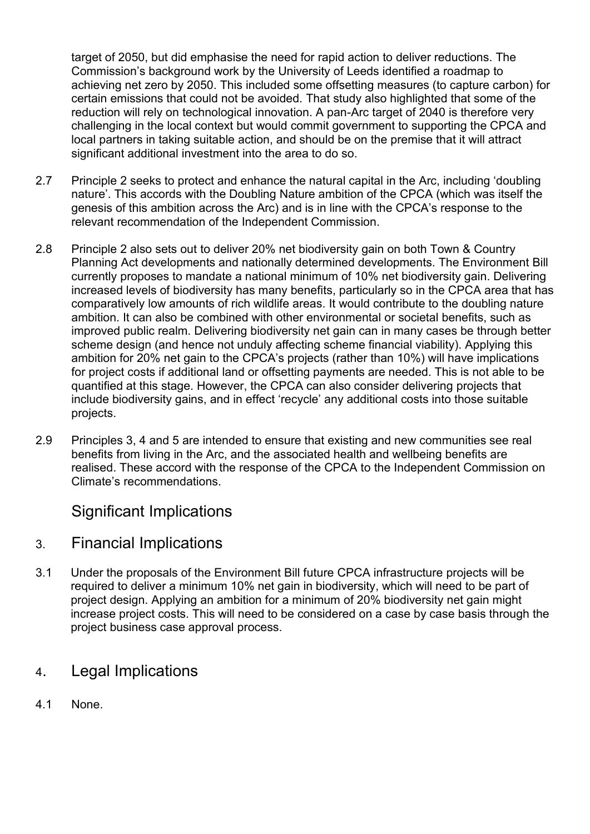target of 2050, but did emphasise the need for rapid action to deliver reductions. The Commission's background work by the University of Leeds identified a roadmap to achieving net zero by 2050. This included some offsetting measures (to capture carbon) for certain emissions that could not be avoided. That study also highlighted that some of the reduction will rely on technological innovation. A pan-Arc target of 2040 is therefore very challenging in the local context but would commit government to supporting the CPCA and local partners in taking suitable action, and should be on the premise that it will attract significant additional investment into the area to do so.

- 2.7 Principle 2 seeks to protect and enhance the natural capital in the Arc, including 'doubling nature'. This accords with the Doubling Nature ambition of the CPCA (which was itself the genesis of this ambition across the Arc) and is in line with the CPCA's response to the relevant recommendation of the Independent Commission.
- 2.8 Principle 2 also sets out to deliver 20% net biodiversity gain on both Town & Country Planning Act developments and nationally determined developments. The Environment Bill currently proposes to mandate a national minimum of 10% net biodiversity gain. Delivering increased levels of biodiversity has many benefits, particularly so in the CPCA area that has comparatively low amounts of rich wildlife areas. It would contribute to the doubling nature ambition. It can also be combined with other environmental or societal benefits, such as improved public realm. Delivering biodiversity net gain can in many cases be through better scheme design (and hence not unduly affecting scheme financial viability). Applying this ambition for 20% net gain to the CPCA's projects (rather than 10%) will have implications for project costs if additional land or offsetting payments are needed. This is not able to be quantified at this stage. However, the CPCA can also consider delivering projects that include biodiversity gains, and in effect 'recycle' any additional costs into those suitable projects.
- 2.9 Principles 3, 4 and 5 are intended to ensure that existing and new communities see real benefits from living in the Arc, and the associated health and wellbeing benefits are realised. These accord with the response of the CPCA to the Independent Commission on Climate's recommendations.

## Significant Implications

#### 3. Financial Implications

3.1 Under the proposals of the Environment Bill future CPCA infrastructure projects will be required to deliver a minimum 10% net gain in biodiversity, which will need to be part of project design. Applying an ambition for a minimum of 20% biodiversity net gain might increase project costs. This will need to be considered on a case by case basis through the project business case approval process.

### 4. Legal Implications

4.1 None.